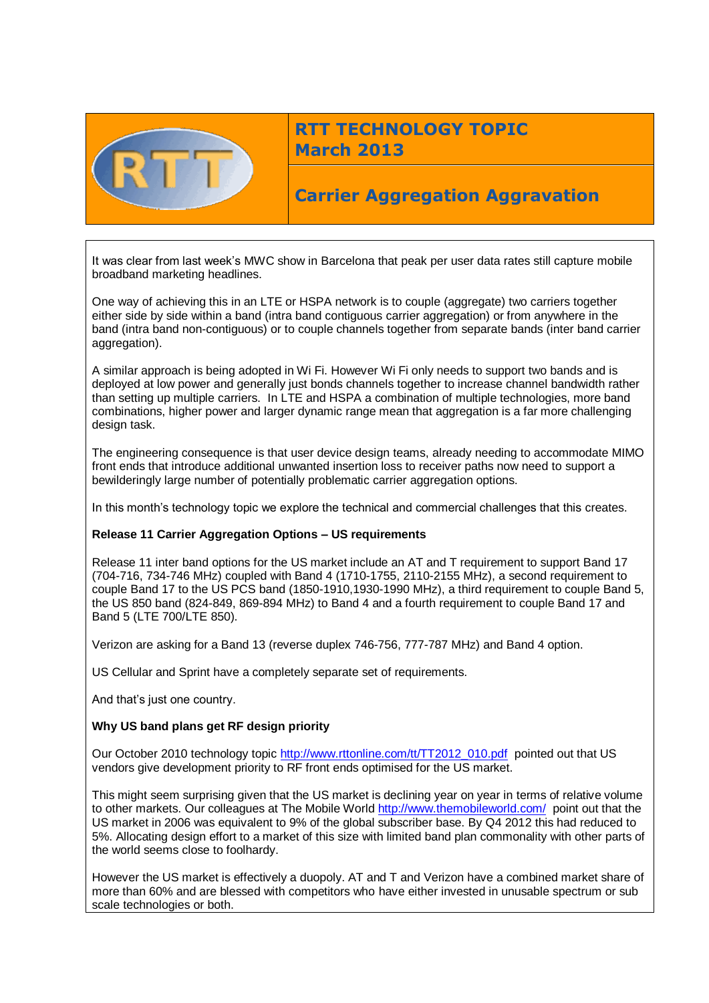

# **RTT TECHNOLOGY TOPIC March 2013**

## **Carrier Aggregation Aggravation**

It was clear from last week's MWC show in Barcelona that peak per user data rates still capture mobile broadband marketing headlines.

One way of achieving this in an LTE or HSPA network is to couple (aggregate) two carriers together either side by side within a band (intra band contiguous carrier aggregation) or from anywhere in the band (intra band non-contiguous) or to couple channels together from separate bands (inter band carrier aggregation).

A similar approach is being adopted in Wi Fi. However Wi Fi only needs to support two bands and is deployed at low power and generally just bonds channels together to increase channel bandwidth rather than setting up multiple carriers. In LTE and HSPA a combination of multiple technologies, more band combinations, higher power and larger dynamic range mean that aggregation is a far more challenging design task.

The engineering consequence is that user device design teams, already needing to accommodate MIMO front ends that introduce additional unwanted insertion loss to receiver paths now need to support a bewilderingly large number of potentially problematic carrier aggregation options.

In this month's technology topic we explore the technical and commercial challenges that this creates.

## **Release 11 Carrier Aggregation Options – US requirements**

Release 11 inter band options for the US market include an AT and T requirement to support Band 17 (704-716, 734-746 MHz) coupled with Band 4 (1710-1755, 2110-2155 MHz), a second requirement to couple Band 17 to the US PCS band (1850-1910,1930-1990 MHz), a third requirement to couple Band 5, the US 850 band (824-849, 869-894 MHz) to Band 4 and a fourth requirement to couple Band 17 and Band 5 (LTE 700/LTE 850).

Verizon are asking for a Band 13 (reverse duplex 746-756, 777-787 MHz) and Band 4 option.

US Cellular and Sprint have a completely separate set of requirements.

And that's just one country.

## **Why US band plans get RF design priority**

Our October 2010 technology topic [http://www.rttonline.com/tt/TT2012\\_010.pdf](http://www.rttonline.com/tt/TT2012_010.pdf) pointed out that US vendors give development priority to RF front ends optimised for the US market.

This might seem surprising given that the US market is declining year on year in terms of relative volume to other markets. Our colleagues at The Mobile World<http://www.themobileworld.com/>point out that the US market in 2006 was equivalent to 9% of the global subscriber base. By Q4 2012 this had reduced to 5%. Allocating design effort to a market of this size with limited band plan commonality with other parts of the world seems close to foolhardy.

However the US market is effectively a duopoly. AT and T and Verizon have a combined market share of more than 60% and are blessed with competitors who have either invested in unusable spectrum or sub scale technologies or both.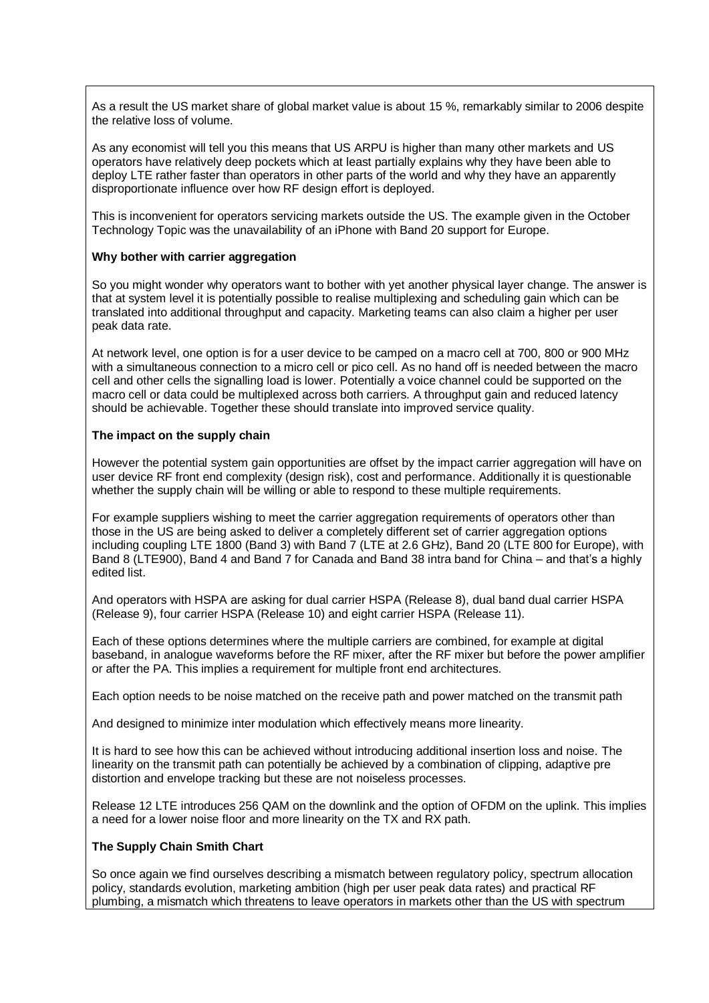As a result the US market share of global market value is about 15 %, remarkably similar to 2006 despite the relative loss of volume.

As any economist will tell you this means that US ARPU is higher than many other markets and US operators have relatively deep pockets which at least partially explains why they have been able to deploy LTE rather faster than operators in other parts of the world and why they have an apparently disproportionate influence over how RF design effort is deployed.

This is inconvenient for operators servicing markets outside the US. The example given in the October Technology Topic was the unavailability of an iPhone with Band 20 support for Europe.

#### **Why bother with carrier aggregation**

So you might wonder why operators want to bother with yet another physical layer change. The answer is that at system level it is potentially possible to realise multiplexing and scheduling gain which can be translated into additional throughput and capacity. Marketing teams can also claim a higher per user peak data rate.

At network level, one option is for a user device to be camped on a macro cell at 700, 800 or 900 MHz with a simultaneous connection to a micro cell or pico cell. As no hand off is needed between the macro cell and other cells the signalling load is lower. Potentially a voice channel could be supported on the macro cell or data could be multiplexed across both carriers. A throughput gain and reduced latency should be achievable. Together these should translate into improved service quality.

#### **The impact on the supply chain**

However the potential system gain opportunities are offset by the impact carrier aggregation will have on user device RF front end complexity (design risk), cost and performance. Additionally it is questionable whether the supply chain will be willing or able to respond to these multiple requirements.

For example suppliers wishing to meet the carrier aggregation requirements of operators other than those in the US are being asked to deliver a completely different set of carrier aggregation options including coupling LTE 1800 (Band 3) with Band 7 (LTE at 2.6 GHz), Band 20 (LTE 800 for Europe), with Band 8 (LTE900), Band 4 and Band 7 for Canada and Band 38 intra band for China – and that's a highly edited list.

And operators with HSPA are asking for dual carrier HSPA (Release 8), dual band dual carrier HSPA (Release 9), four carrier HSPA (Release 10) and eight carrier HSPA (Release 11).

Each of these options determines where the multiple carriers are combined, for example at digital baseband, in analogue waveforms before the RF mixer, after the RF mixer but before the power amplifier or after the PA. This implies a requirement for multiple front end architectures.

Each option needs to be noise matched on the receive path and power matched on the transmit path

And designed to minimize inter modulation which effectively means more linearity.

It is hard to see how this can be achieved without introducing additional insertion loss and noise. The linearity on the transmit path can potentially be achieved by a combination of clipping, adaptive pre distortion and envelope tracking but these are not noiseless processes.

Release 12 LTE introduces 256 QAM on the downlink and the option of OFDM on the uplink. This implies a need for a lower noise floor and more linearity on the TX and RX path.

## **The Supply Chain Smith Chart**

So once again we find ourselves describing a mismatch between regulatory policy, spectrum allocation policy, standards evolution, marketing ambition (high per user peak data rates) and practical RF plumbing, a mismatch which threatens to leave operators in markets other than the US with spectrum